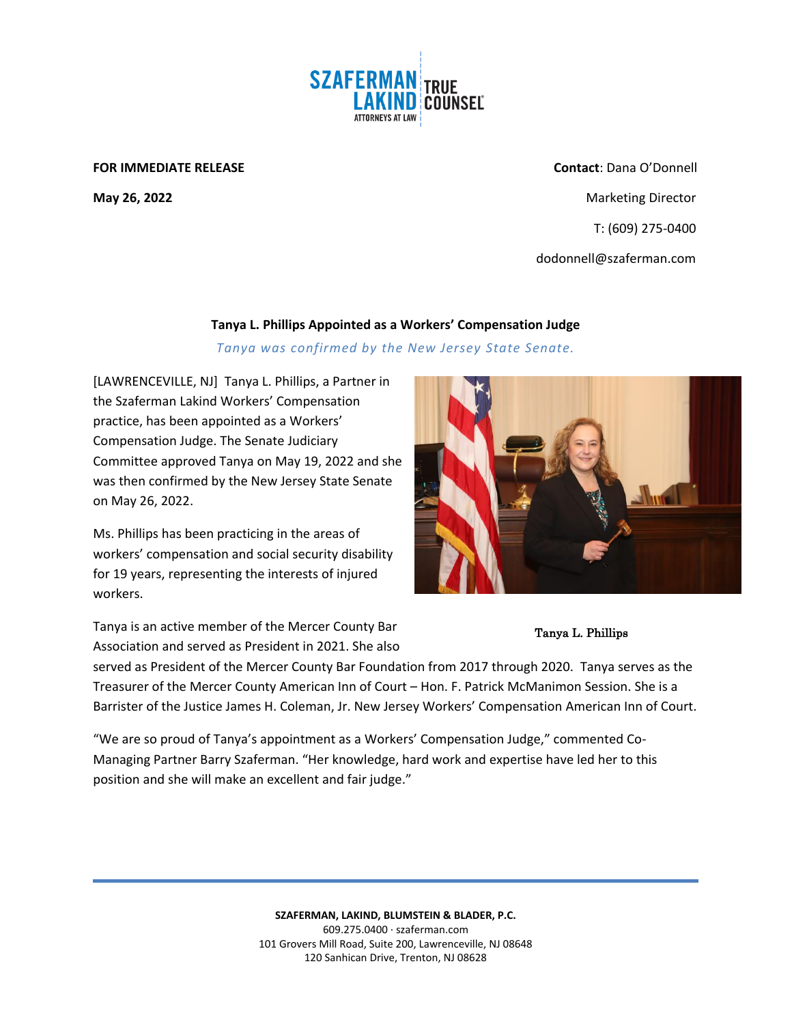

## **FOR IMMEDIATE RELEASE Contact**: Dana O'Donnell

**May 26, 2022 Marketing Director Marketing Director Marketing Director**  T: (609) 275-0400 dodonnell@szaferman.com

## **Tanya L. Phillips Appointed as a Workers' Compensation Judge**

*Tanya was confirmed by the New Jersey State Senate.*

[LAWRENCEVILLE, NJ] Tanya L. Phillips, a Partner in the Szaferman Lakind Workers' Compensation practice, has been appointed as a Workers' Compensation Judge. The Senate Judiciary Committee approved Tanya on May 19, 2022 and she was then confirmed by the New Jersey State Senate on May 26, 2022.

Ms. Phillips has been practicing in the areas of workers' compensation and social security disability for 19 years, representing the interests of injured workers.

Tanya is an active member of the Mercer County Bar Association and served as President in 2021. She also



## Tanya L. Phillips

served as President of the Mercer County Bar Foundation from 2017 through 2020. Tanya serves as the Treasurer of the Mercer County American Inn of Court – Hon. F. Patrick McManimon Session. She is a Barrister of the Justice James H. Coleman, Jr. New Jersey Workers' Compensation American Inn of Court.

"We are so proud of Tanya's appointment as a Workers' Compensation Judge," commented Co-Managing Partner Barry Szaferman. "Her knowledge, hard work and expertise have led her to this position and she will make an excellent and fair judge."

> **SZAFERMAN, LAKIND, BLUMSTEIN & BLADER, P.C.** 609.275.0400 · szaferman.com 101 Grovers Mill Road, Suite 200, Lawrenceville, NJ 08648 120 Sanhican Drive, Trenton, NJ 08628